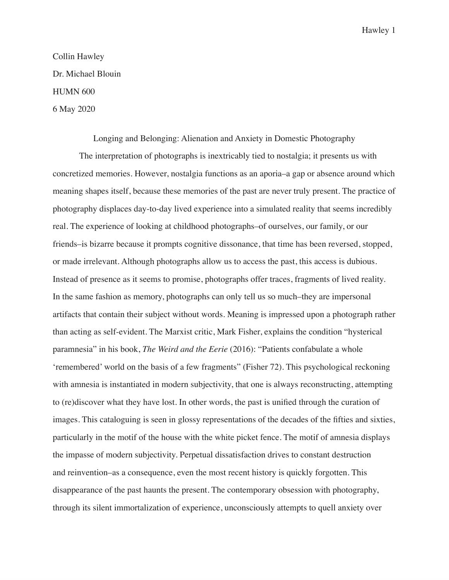Collin Hawley Dr. Michael Blouin HUMN 600 6 May 2020

Longing and Belonging: Alienation and Anxiety in Domestic Photography

The interpretation of photographs is inextricably tied to nostalgia; it presents us with concretized memories. However, nostalgia functions as an aporia–a gap or absence around which meaning shapes itself, because these memories of the past are never truly present. The practice of photography displaces day-to-day lived experience into a simulated reality that seems incredibly real. The experience of looking at childhood photographs–of ourselves, our family, or our friends–is bizarre because it prompts cognitive dissonance, that time has been reversed, stopped, or made irrelevant. Although photographs allow us to access the past, this access is dubious. Instead of presence as it seems to promise, photographs offer traces, fragments of lived reality. In the same fashion as memory, photographs can only tell us so much–they are impersonal artifacts that contain their subject without words. Meaning is impressed upon a photograph rather than acting as self-evident. The Marxist critic, Mark Fisher, explains the condition "hysterical paramnesia" in his book, *The Weird and the Eerie* (2016): "Patients confabulate a whole 'remembered' world on the basis of a few fragments" (Fisher 72). This psychological reckoning with amnesia is instantiated in modern subjectivity, that one is always reconstructing, attempting to (re)discover what they have lost. In other words, the past is unified through the curation of images. This cataloguing is seen in glossy representations of the decades of the fifties and sixties, particularly in the motif of the house with the white picket fence. The motif of amnesia displays the impasse of modern subjectivity. Perpetual dissatisfaction drives to constant destruction and reinvention–as a consequence, even the most recent history is quickly forgotten. This disappearance of the past haunts the present. The contemporary obsession with photography, through its silent immortalization of experience, unconsciously attempts to quell anxiety over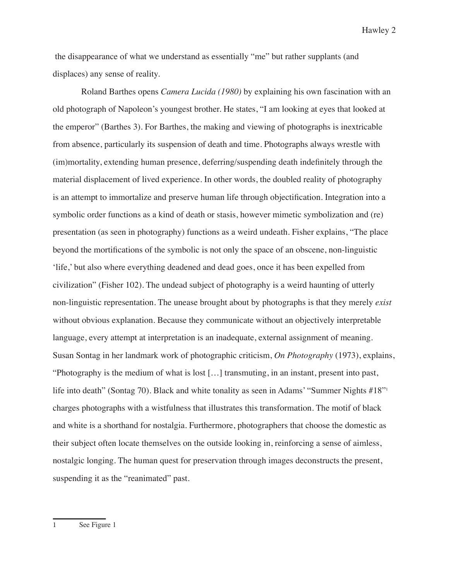the disappearance of what we understand as essentially "me" but rather supplants (and displaces) any sense of reality.

 Roland Barthes opens *Camera Lucida (1980)* by explaining his own fascination with an old photograph of Napoleon's youngest brother. He states, "I am looking at eyes that looked at the emperor" (Barthes 3). For Barthes, the making and viewing of photographs is inextricable from absence, particularly its suspension of death and time. Photographs always wrestle with (im)mortality, extending human presence, deferring/suspending death indefinitely through the material displacement of lived experience. In other words, the doubled reality of photography is an attempt to immortalize and preserve human life through objectification. Integration into a symbolic order functions as a kind of death or stasis, however mimetic symbolization and (re) presentation (as seen in photography) functions as a weird undeath. Fisher explains, "The place beyond the mortifications of the symbolic is not only the space of an obscene, non-linguistic 'life,' but also where everything deadened and dead goes, once it has been expelled from civilization" (Fisher 102). The undead subject of photography is a weird haunting of utterly non-linguistic representation. The unease brought about by photographs is that they merely *exist* without obvious explanation. Because they communicate without an objectively interpretable language, every attempt at interpretation is an inadequate, external assignment of meaning. Susan Sontag in her landmark work of photographic criticism, *On Photography* (1973), explains, "Photography is the medium of what is lost […] transmuting, in an instant, present into past, life into death" (Sontag 70). Black and white tonality as seen in Adams' "Summer Nights #18"<sup>1</sup> charges photographs with a wistfulness that illustrates this transformation. The motif of black and white is a shorthand for nostalgia. Furthermore, photographers that choose the domestic as their subject often locate themselves on the outside looking in, reinforcing a sense of aimless, nostalgic longing. The human quest for preservation through images deconstructs the present, suspending it as the "reanimated" past.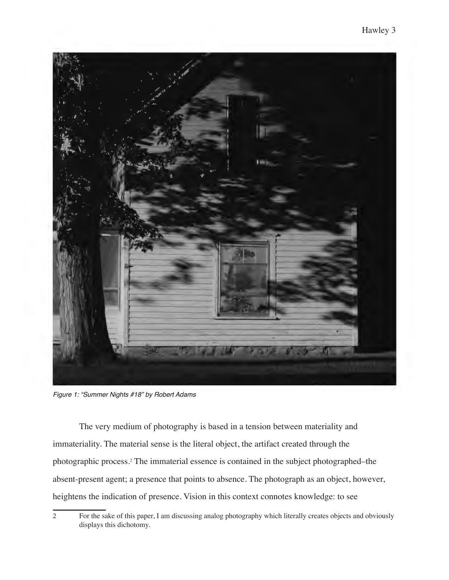

*Figure 1: "Summer Nights #18" by Robert Adams*

The very medium of photography is based in a tension between materiality and immateriality. The material sense is the literal object, the artifact created through the photographic process.2 The immaterial essence is contained in the subject photographed–the absent-present agent; a presence that points to absence. The photograph as an object, however, heightens the indication of presence. Vision in this context connotes knowledge: to see

<sup>2</sup> For the sake of this paper, I am discussing analog photography which literally creates objects and obviously displays this dichotomy.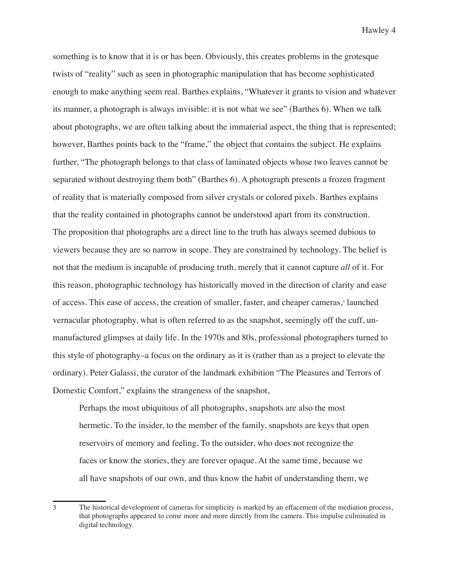something is to know that it is or has been. Obviously, this creates problems in the grotesque twists of "reality" such as seen in photographic manipulation that has become sophisticated enough to make anything seem real. Barthes explains, "Whatever it grants to vision and whatever its manner, a photograph is always invisible: it is not what we see" (Barthes 6). When we talk about photographs, we are often talking about the immaterial aspect, the thing that is represented; however, Barthes points back to the "frame," the object that contains the subject. He explains further, "The photograph belongs to that class of laminated objects whose two leaves cannot be separated without destroying them both" (Barthes 6). A photograph presents a frozen fragment of reality that is materially composed from silver crystals or colored pixels. Barthes explains that the reality contained in photographs cannot be understood apart from its construction. The proposition that photographs are a direct line to the truth has always seemed dubious to viewers because they are so narrow in scope. They are constrained by technology. The belief is not that the medium is incapable of producing truth, merely that it cannot capture *all* of it. For this reason, photographic technology has historically moved in the direction of clarity and ease of access. This ease of access, the creation of smaller, faster, and cheaper cameras,<sup>3</sup> launched vernacular photography, what is often referred to as the snapshot, seemingly off the cuff, unmanufactured glimpses at daily life. In the 1970s and 80s, professional photographers turned to this style of photography–a focus on the ordinary as it is (rather than as a project to elevate the ordinary). Peter Galassi, the curator of the landmark exhibition "The Pleasures and Terrors of Domestic Comfort," explains the strangeness of the snapshot,

Perhaps the most ubiquitous of all photographs, snapshots are also the most hermetic. To the insider, to the member of the family, snapshots are keys that open reservoirs of memory and feeling. To the outsider, who does not recognize the faces or know the stories, they are forever opaque. At the same time, because we all have snapshots of our own, and thus know the habit of understanding them, we

<sup>3</sup> The historical development of cameras for simplicity is marked by an effacement of the mediation process, that photographs appeared to come more and more directly from the camera. This impulse culminated in digital technology.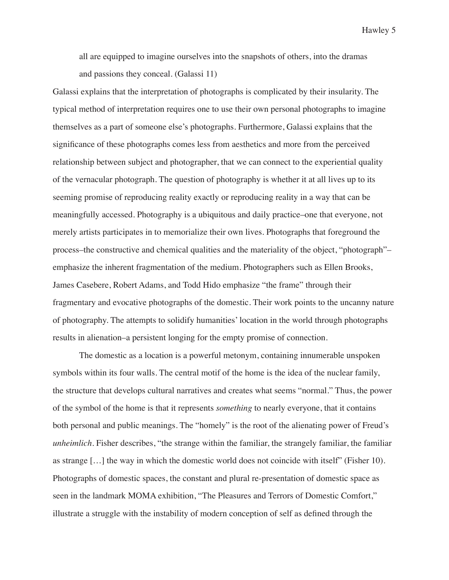all are equipped to imagine ourselves into the snapshots of others, into the dramas and passions they conceal. (Galassi 11)

Galassi explains that the interpretation of photographs is complicated by their insularity. The typical method of interpretation requires one to use their own personal photographs to imagine themselves as a part of someone else's photographs. Furthermore, Galassi explains that the significance of these photographs comes less from aesthetics and more from the perceived relationship between subject and photographer, that we can connect to the experiential quality of the vernacular photograph. The question of photography is whether it at all lives up to its seeming promise of reproducing reality exactly or reproducing reality in a way that can be meaningfully accessed. Photography is a ubiquitous and daily practice–one that everyone, not merely artists participates in to memorialize their own lives. Photographs that foreground the process–the constructive and chemical qualities and the materiality of the object, "photograph"– emphasize the inherent fragmentation of the medium. Photographers such as Ellen Brooks, James Casebere, Robert Adams, and Todd Hido emphasize "the frame" through their fragmentary and evocative photographs of the domestic. Their work points to the uncanny nature of photography. The attempts to solidify humanities' location in the world through photographs results in alienation–a persistent longing for the empty promise of connection.

The domestic as a location is a powerful metonym, containing innumerable unspoken symbols within its four walls. The central motif of the home is the idea of the nuclear family, the structure that develops cultural narratives and creates what seems "normal." Thus, the power of the symbol of the home is that it represents *something* to nearly everyone, that it contains both personal and public meanings. The "homely" is the root of the alienating power of Freud's *unheimlich*. Fisher describes, "the strange within the familiar, the strangely familiar, the familiar as strange […] the way in which the domestic world does not coincide with itself" (Fisher 10). Photographs of domestic spaces, the constant and plural re-presentation of domestic space as seen in the landmark MOMA exhibition, "The Pleasures and Terrors of Domestic Comfort," illustrate a struggle with the instability of modern conception of self as defined through the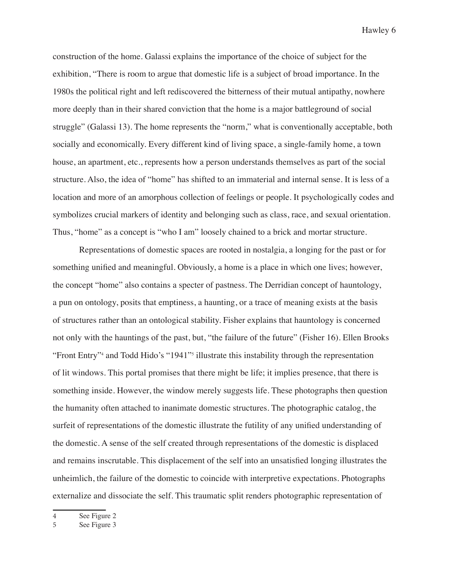construction of the home. Galassi explains the importance of the choice of subject for the exhibition, "There is room to argue that domestic life is a subject of broad importance. In the 1980s the political right and left rediscovered the bitterness of their mutual antipathy, nowhere more deeply than in their shared conviction that the home is a major battleground of social struggle" (Galassi 13). The home represents the "norm," what is conventionally acceptable, both socially and economically. Every different kind of living space, a single-family home, a town house, an apartment, etc., represents how a person understands themselves as part of the social structure. Also, the idea of "home" has shifted to an immaterial and internal sense. It is less of a location and more of an amorphous collection of feelings or people. It psychologically codes and symbolizes crucial markers of identity and belonging such as class, race, and sexual orientation. Thus, "home" as a concept is "who I am" loosely chained to a brick and mortar structure.

Representations of domestic spaces are rooted in nostalgia, a longing for the past or for something unified and meaningful. Obviously, a home is a place in which one lives; however, the concept "home" also contains a specter of pastness. The Derridian concept of hauntology, a pun on ontology, posits that emptiness, a haunting, or a trace of meaning exists at the basis of structures rather than an ontological stability. Fisher explains that hauntology is concerned not only with the hauntings of the past, but, "the failure of the future" (Fisher 16). Ellen Brooks "Front Entry"4 and Todd Hido's "1941"5 illustrate this instability through the representation of lit windows. This portal promises that there might be life; it implies presence, that there is something inside. However, the window merely suggests life. These photographs then question the humanity often attached to inanimate domestic structures. The photographic catalog, the surfeit of representations of the domestic illustrate the futility of any unified understanding of the domestic. A sense of the self created through representations of the domestic is displaced and remains inscrutable. This displacement of the self into an unsatisfied longing illustrates the unheimlich, the failure of the domestic to coincide with interpretive expectations. Photographs externalize and dissociate the self. This traumatic split renders photographic representation of

<sup>4</sup> See Figure 2

<sup>5</sup> See Figure 3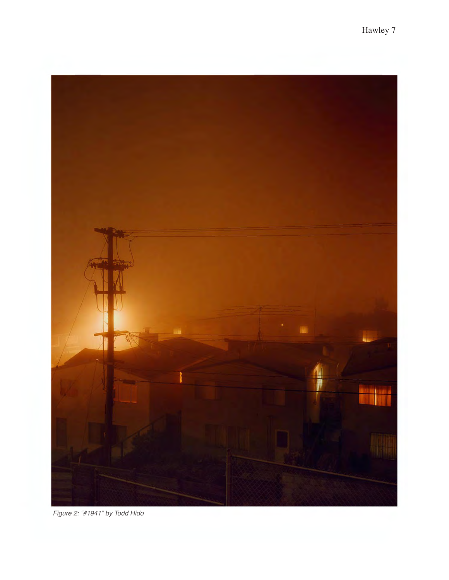

*Figure 2: "#1941" by Todd Hido*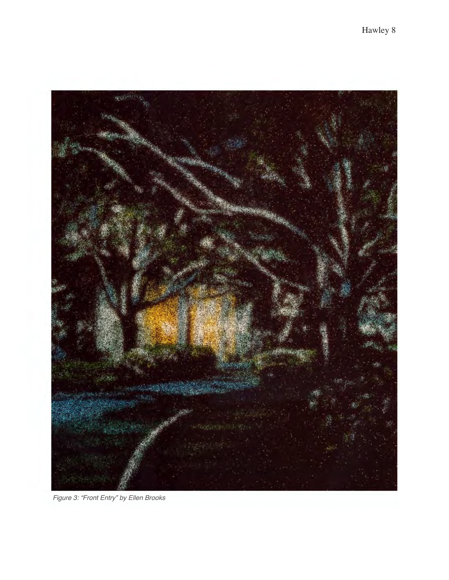

*Figure 3: "Front Entry" by Ellen Brooks*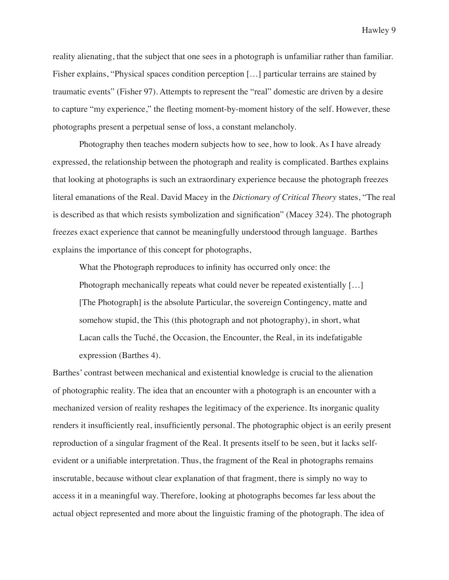reality alienating, that the subject that one sees in a photograph is unfamiliar rather than familiar. Fisher explains, "Physical spaces condition perception [...] particular terrains are stained by traumatic events" (Fisher 97). Attempts to represent the "real" domestic are driven by a desire to capture "my experience," the fleeting moment-by-moment history of the self. However, these photographs present a perpetual sense of loss, a constant melancholy.

Photography then teaches modern subjects how to see, how to look. As I have already expressed, the relationship between the photograph and reality is complicated. Barthes explains that looking at photographs is such an extraordinary experience because the photograph freezes literal emanations of the Real. David Macey in the *Dictionary of Critical Theory* states, "The real is described as that which resists symbolization and signification" (Macey 324). The photograph freezes exact experience that cannot be meaningfully understood through language. Barthes explains the importance of this concept for photographs,

What the Photograph reproduces to infinity has occurred only once: the Photograph mechanically repeats what could never be repeated existentially [...] [The Photograph] is the absolute Particular, the sovereign Contingency, matte and somehow stupid, the This (this photograph and not photography), in short, what Lacan calls the Tuché, the Occasion, the Encounter, the Real, in its indefatigable expression (Barthes 4).

Barthes' contrast between mechanical and existential knowledge is crucial to the alienation of photographic reality. The idea that an encounter with a photograph is an encounter with a mechanized version of reality reshapes the legitimacy of the experience. Its inorganic quality renders it insufficiently real, insufficiently personal. The photographic object is an eerily present reproduction of a singular fragment of the Real. It presents itself to be seen, but it lacks selfevident or a unifiable interpretation. Thus, the fragment of the Real in photographs remains inscrutable, because without clear explanation of that fragment, there is simply no way to access it in a meaningful way. Therefore, looking at photographs becomes far less about the actual object represented and more about the linguistic framing of the photograph. The idea of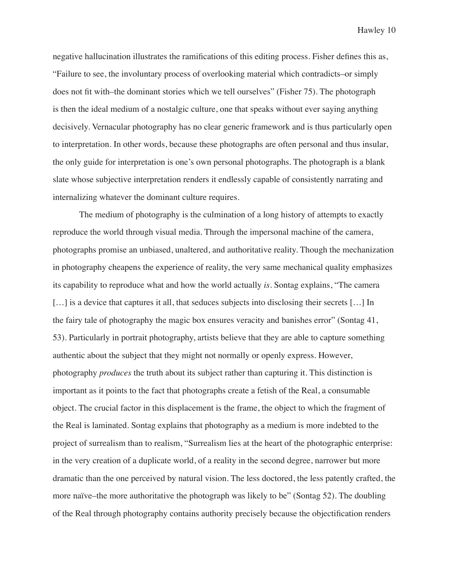negative hallucination illustrates the ramifications of this editing process. Fisher defines this as, "Failure to see, the involuntary process of overlooking material which contradicts–or simply does not fit with–the dominant stories which we tell ourselves" (Fisher 75). The photograph is then the ideal medium of a nostalgic culture, one that speaks without ever saying anything decisively. Vernacular photography has no clear generic framework and is thus particularly open to interpretation. In other words, because these photographs are often personal and thus insular, the only guide for interpretation is one's own personal photographs. The photograph is a blank slate whose subjective interpretation renders it endlessly capable of consistently narrating and internalizing whatever the dominant culture requires.

The medium of photography is the culmination of a long history of attempts to exactly reproduce the world through visual media. Through the impersonal machine of the camera, photographs promise an unbiased, unaltered, and authoritative reality. Though the mechanization in photography cheapens the experience of reality, the very same mechanical quality emphasizes its capability to reproduce what and how the world actually *is*. Sontag explains, "The camera [...] is a device that captures it all, that seduces subjects into disclosing their secrets [...] In the fairy tale of photography the magic box ensures veracity and banishes error" (Sontag 41, 53). Particularly in portrait photography, artists believe that they are able to capture something authentic about the subject that they might not normally or openly express. However, photography *produces* the truth about its subject rather than capturing it. This distinction is important as it points to the fact that photographs create a fetish of the Real, a consumable object. The crucial factor in this displacement is the frame, the object to which the fragment of the Real is laminated. Sontag explains that photography as a medium is more indebted to the project of surrealism than to realism, "Surrealism lies at the heart of the photographic enterprise: in the very creation of a duplicate world, of a reality in the second degree, narrower but more dramatic than the one perceived by natural vision. The less doctored, the less patently crafted, the more naïve–the more authoritative the photograph was likely to be" (Sontag 52). The doubling of the Real through photography contains authority precisely because the objectification renders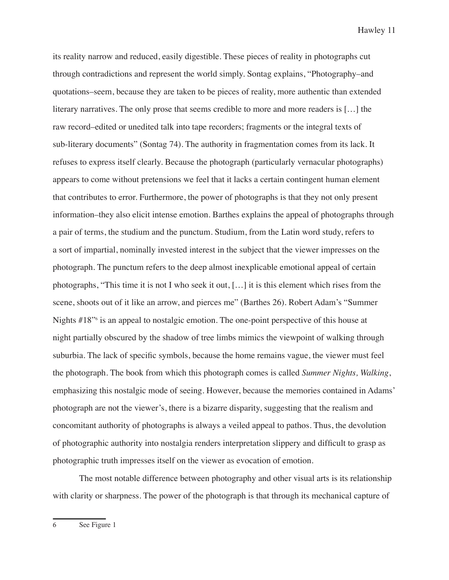its reality narrow and reduced, easily digestible. These pieces of reality in photographs cut through contradictions and represent the world simply. Sontag explains, "Photography–and quotations–seem, because they are taken to be pieces of reality, more authentic than extended literary narratives. The only prose that seems credible to more and more readers is […] the raw record–edited or unedited talk into tape recorders; fragments or the integral texts of sub-literary documents" (Sontag 74). The authority in fragmentation comes from its lack. It refuses to express itself clearly. Because the photograph (particularly vernacular photographs) appears to come without pretensions we feel that it lacks a certain contingent human element that contributes to error. Furthermore, the power of photographs is that they not only present information–they also elicit intense emotion. Barthes explains the appeal of photographs through a pair of terms, the studium and the punctum. Studium, from the Latin word study, refers to a sort of impartial, nominally invested interest in the subject that the viewer impresses on the photograph. The punctum refers to the deep almost inexplicable emotional appeal of certain photographs, "This time it is not I who seek it out, […] it is this element which rises from the scene, shoots out of it like an arrow, and pierces me" (Barthes 26). Robert Adam's "Summer Nights #18<sup>"6</sup> is an appeal to nostalgic emotion. The one-point perspective of this house at night partially obscured by the shadow of tree limbs mimics the viewpoint of walking through suburbia. The lack of specific symbols, because the home remains vague, the viewer must feel the photograph. The book from which this photograph comes is called *Summer Nights, Walking*, emphasizing this nostalgic mode of seeing. However, because the memories contained in Adams' photograph are not the viewer's, there is a bizarre disparity, suggesting that the realism and concomitant authority of photographs is always a veiled appeal to pathos. Thus, the devolution of photographic authority into nostalgia renders interpretation slippery and difficult to grasp as photographic truth impresses itself on the viewer as evocation of emotion.

The most notable difference between photography and other visual arts is its relationship with clarity or sharpness. The power of the photograph is that through its mechanical capture of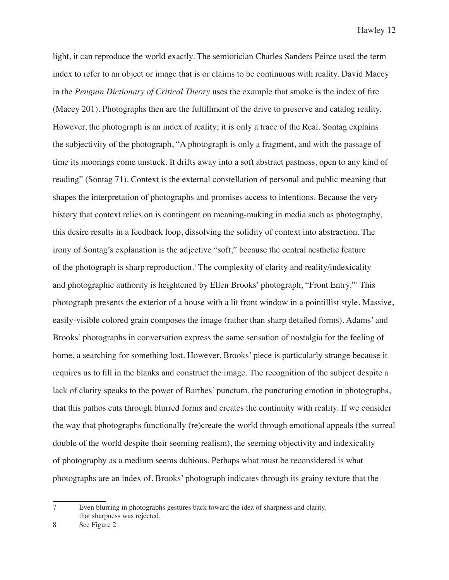light, it can reproduce the world exactly. The semiotician Charles Sanders Peirce used the term index to refer to an object or image that is or claims to be continuous with reality. David Macey in the *Penguin Dictionary of Critical Theory* uses the example that smoke is the index of fire (Macey 201). Photographs then are the fulfillment of the drive to preserve and catalog reality. However, the photograph is an index of reality; it is only a trace of the Real. Sontag explains the subjectivity of the photograph, "A photograph is only a fragment, and with the passage of time its moorings come unstuck. It drifts away into a soft abstract pastness, open to any kind of reading" (Sontag 71). Context is the external constellation of personal and public meaning that shapes the interpretation of photographs and promises access to intentions. Because the very history that context relies on is contingent on meaning-making in media such as photography, this desire results in a feedback loop, dissolving the solidity of context into abstraction. The irony of Sontag's explanation is the adjective "soft," because the central aesthetic feature of the photograph is sharp reproduction.7 The complexity of clarity and reality/indexicality and photographic authority is heightened by Ellen Brooks' photograph, "Front Entry." This photograph presents the exterior of a house with a lit front window in a pointillist style. Massive, easily-visible colored grain composes the image (rather than sharp detailed forms). Adams' and Brooks' photographs in conversation express the same sensation of nostalgia for the feeling of home, a searching for something lost. However, Brooks' piece is particularly strange because it requires us to fill in the blanks and construct the image. The recognition of the subject despite a lack of clarity speaks to the power of Barthes' punctum, the puncturing emotion in photographs, that this pathos cuts through blurred forms and creates the continuity with reality. If we consider the way that photographs functionally (re)create the world through emotional appeals (the surreal double of the world despite their seeming realism), the seeming objectivity and indexicality of photography as a medium seems dubious. Perhaps what must be reconsidered is what photographs are an index of. Brooks' photograph indicates through its grainy texture that the

<sup>7</sup> Even blurring in photographs gestures back toward the idea of sharpness and clarity, that sharpness was rejected.

<sup>8</sup> See Figure 2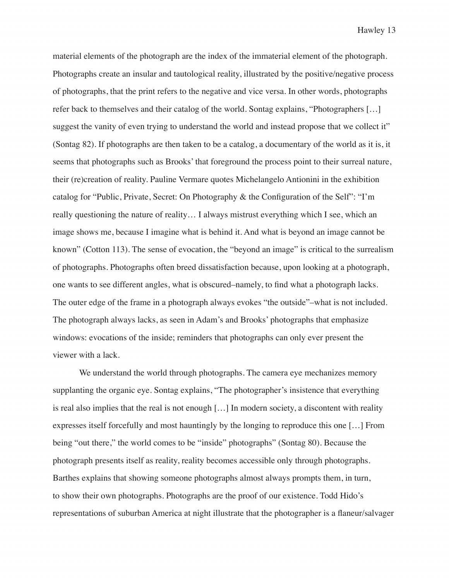material elements of the photograph are the index of the immaterial element of the photograph. Photographs create an insular and tautological reality, illustrated by the positive/negative process of photographs, that the print refers to the negative and vice versa. In other words, photographs refer back to themselves and their catalog of the world. Sontag explains, "Photographers […] suggest the vanity of even trying to understand the world and instead propose that we collect it" (Sontag 82). If photographs are then taken to be a catalog, a documentary of the world as it is, it seems that photographs such as Brooks' that foreground the process point to their surreal nature, their (re)creation of reality. Pauline Vermare quotes Michelangelo Antionini in the exhibition catalog for "Public, Private, Secret: On Photography & the Configuration of the Self": "I'm really questioning the nature of reality… I always mistrust everything which I see, which an image shows me, because I imagine what is behind it. And what is beyond an image cannot be known" (Cotton 113). The sense of evocation, the "beyond an image" is critical to the surrealism of photographs. Photographs often breed dissatisfaction because, upon looking at a photograph, one wants to see different angles, what is obscured–namely, to find what a photograph lacks. The outer edge of the frame in a photograph always evokes "the outside"–what is not included. The photograph always lacks, as seen in Adam's and Brooks' photographs that emphasize windows: evocations of the inside; reminders that photographs can only ever present the viewer with a lack.

We understand the world through photographs. The camera eye mechanizes memory supplanting the organic eye. Sontag explains, "The photographer's insistence that everything is real also implies that the real is not enough […] In modern society, a discontent with reality expresses itself forcefully and most hauntingly by the longing to reproduce this one […] From being "out there," the world comes to be "inside" photographs" (Sontag 80). Because the photograph presents itself as reality, reality becomes accessible only through photographs. Barthes explains that showing someone photographs almost always prompts them, in turn, to show their own photographs. Photographs are the proof of our existence. Todd Hido's representations of suburban America at night illustrate that the photographer is a flaneur/salvager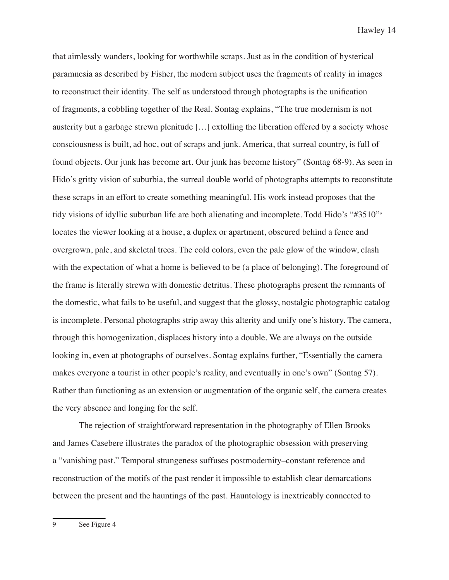that aimlessly wanders, looking for worthwhile scraps. Just as in the condition of hysterical paramnesia as described by Fisher, the modern subject uses the fragments of reality in images to reconstruct their identity. The self as understood through photographs is the unification of fragments, a cobbling together of the Real. Sontag explains, "The true modernism is not austerity but a garbage strewn plenitude […] extolling the liberation offered by a society whose consciousness is built, ad hoc, out of scraps and junk. America, that surreal country, is full of found objects. Our junk has become art. Our junk has become history" (Sontag 68-9). As seen in Hido's gritty vision of suburbia, the surreal double world of photographs attempts to reconstitute these scraps in an effort to create something meaningful. His work instead proposes that the tidy visions of idyllic suburban life are both alienating and incomplete. Todd Hido's "#3510"9 locates the viewer looking at a house, a duplex or apartment, obscured behind a fence and overgrown, pale, and skeletal trees. The cold colors, even the pale glow of the window, clash with the expectation of what a home is believed to be (a place of belonging). The foreground of the frame is literally strewn with domestic detritus. These photographs present the remnants of the domestic, what fails to be useful, and suggest that the glossy, nostalgic photographic catalog is incomplete. Personal photographs strip away this alterity and unify one's history. The camera, through this homogenization, displaces history into a double. We are always on the outside looking in, even at photographs of ourselves. Sontag explains further, "Essentially the camera makes everyone a tourist in other people's reality, and eventually in one's own" (Sontag 57). Rather than functioning as an extension or augmentation of the organic self, the camera creates the very absence and longing for the self.

The rejection of straightforward representation in the photography of Ellen Brooks and James Casebere illustrates the paradox of the photographic obsession with preserving a "vanishing past." Temporal strangeness suffuses postmodernity–constant reference and reconstruction of the motifs of the past render it impossible to establish clear demarcations between the present and the hauntings of the past. Hauntology is inextricably connected to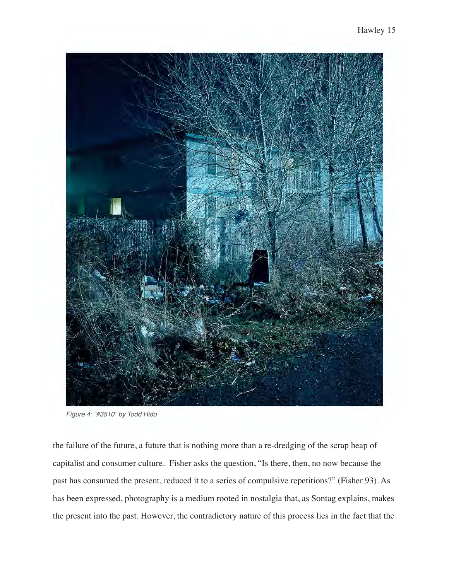

*Figure 4: "#3510" by Todd Hido*

the failure of the future, a future that is nothing more than a re-dredging of the scrap heap of capitalist and consumer culture. Fisher asks the question, "Is there, then, no now because the past has consumed the present, reduced it to a series of compulsive repetitions?" (Fisher 93). As has been expressed, photography is a medium rooted in nostalgia that, as Sontag explains, makes the present into the past. However, the contradictory nature of this process lies in the fact that the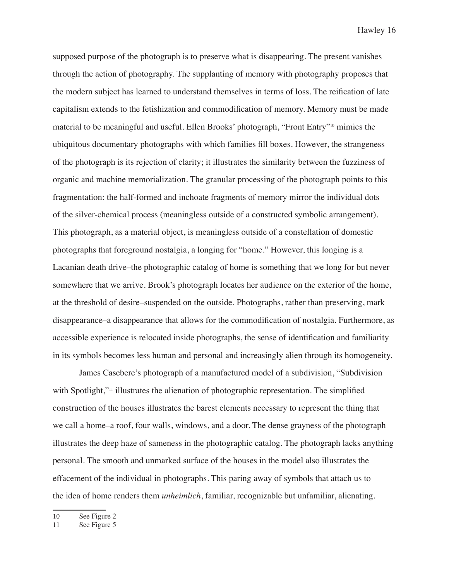supposed purpose of the photograph is to preserve what is disappearing. The present vanishes through the action of photography. The supplanting of memory with photography proposes that the modern subject has learned to understand themselves in terms of loss. The reification of late capitalism extends to the fetishization and commodification of memory. Memory must be made material to be meaningful and useful. Ellen Brooks' photograph, "Front Entry"10 mimics the ubiquitous documentary photographs with which families fill boxes. However, the strangeness of the photograph is its rejection of clarity; it illustrates the similarity between the fuzziness of organic and machine memorialization. The granular processing of the photograph points to this fragmentation: the half-formed and inchoate fragments of memory mirror the individual dots of the silver-chemical process (meaningless outside of a constructed symbolic arrangement). This photograph, as a material object, is meaningless outside of a constellation of domestic photographs that foreground nostalgia, a longing for "home." However, this longing is a Lacanian death drive–the photographic catalog of home is something that we long for but never somewhere that we arrive. Brook's photograph locates her audience on the exterior of the home, at the threshold of desire–suspended on the outside. Photographs, rather than preserving, mark disappearance–a disappearance that allows for the commodification of nostalgia. Furthermore, as accessible experience is relocated inside photographs, the sense of identification and familiarity in its symbols becomes less human and personal and increasingly alien through its homogeneity.

James Casebere's photograph of a manufactured model of a subdivision, "Subdivision with Spotlight,"<sup>11</sup> illustrates the alienation of photographic representation. The simplified construction of the houses illustrates the barest elements necessary to represent the thing that we call a home–a roof, four walls, windows, and a door. The dense grayness of the photograph illustrates the deep haze of sameness in the photographic catalog. The photograph lacks anything personal. The smooth and unmarked surface of the houses in the model also illustrates the effacement of the individual in photographs. This paring away of symbols that attach us to the idea of home renders them *unheimlich*, familiar, recognizable but unfamiliar, alienating.

<sup>10</sup> See Figure 2

<sup>11</sup> See Figure 5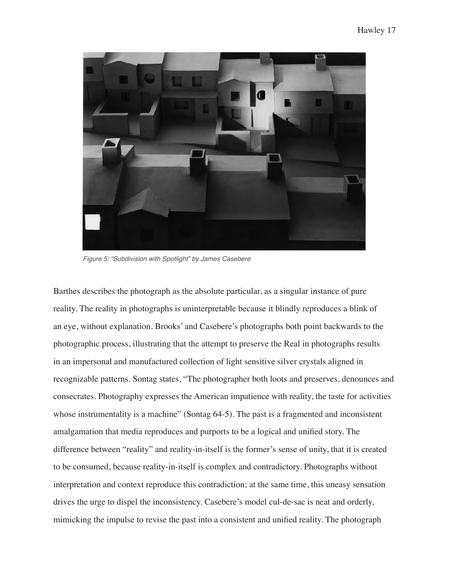

*Figure 5: "Subdivision with Spotlight" by James Casebere*

Barthes describes the photograph as the absolute particular, as a singular instance of pure reality. The reality in photographs is uninterpretable because it blindly reproduces a blink of an eye, without explanation. Brooks' and Casebere's photographs both point backwards to the photographic process, illustrating that the attempt to preserve the Real in photographs results in an impersonal and manufactured collection of light sensitive silver crystals aligned in recognizable patterns. Sontag states, "The photographer both loots and preserves, denounces and consecrates. Photography expresses the American impatience with reality, the taste for activities whose instrumentality is a machine" (Sontag 64-5). The past is a fragmented and inconsistent amalgamation that media reproduces and purports to be a logical and unified story. The difference between "reality" and reality-in-itself is the former's sense of unity, that it is created to be consumed, because reality-in-itself is complex and contradictory. Photographs without interpretation and context reproduce this contradiction; at the same time, this uneasy sensation drives the urge to dispel the inconsistency. Casebere's model cul-de-sac is neat and orderly, mimicking the impulse to revise the past into a consistent and unified reality. The photograph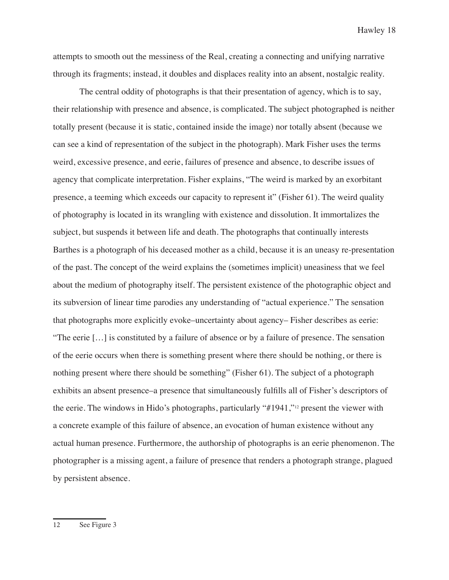attempts to smooth out the messiness of the Real, creating a connecting and unifying narrative through its fragments; instead, it doubles and displaces reality into an absent, nostalgic reality.

The central oddity of photographs is that their presentation of agency, which is to say, their relationship with presence and absence, is complicated. The subject photographed is neither totally present (because it is static, contained inside the image) nor totally absent (because we can see a kind of representation of the subject in the photograph). Mark Fisher uses the terms weird, excessive presence, and eerie, failures of presence and absence, to describe issues of agency that complicate interpretation. Fisher explains, "The weird is marked by an exorbitant presence, a teeming which exceeds our capacity to represent it" (Fisher 61). The weird quality of photography is located in its wrangling with existence and dissolution. It immortalizes the subject, but suspends it between life and death. The photographs that continually interests Barthes is a photograph of his deceased mother as a child, because it is an uneasy re-presentation of the past. The concept of the weird explains the (sometimes implicit) uneasiness that we feel about the medium of photography itself. The persistent existence of the photographic object and its subversion of linear time parodies any understanding of "actual experience." The sensation that photographs more explicitly evoke–uncertainty about agency– Fisher describes as eerie: "The eerie […] is constituted by a failure of absence or by a failure of presence. The sensation of the eerie occurs when there is something present where there should be nothing, or there is nothing present where there should be something" (Fisher 61). The subject of a photograph exhibits an absent presence–a presence that simultaneously fulfills all of Fisher's descriptors of the eerie. The windows in Hido's photographs, particularly "#1941,"12 present the viewer with a concrete example of this failure of absence, an evocation of human existence without any actual human presence. Furthermore, the authorship of photographs is an eerie phenomenon. The photographer is a missing agent, a failure of presence that renders a photograph strange, plagued by persistent absence.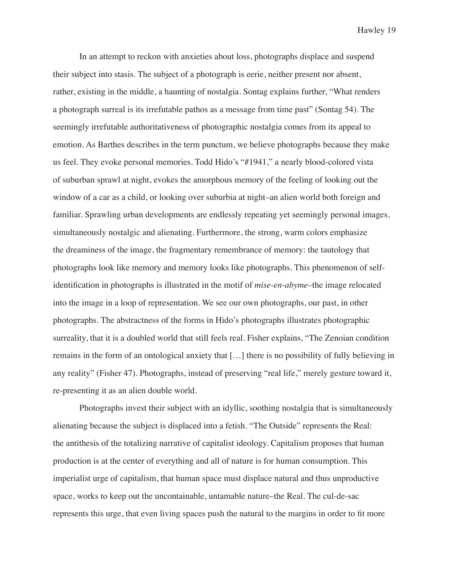In an attempt to reckon with anxieties about loss, photographs displace and suspend their subject into stasis. The subject of a photograph is eerie, neither present nor absent, rather, existing in the middle, a haunting of nostalgia. Sontag explains further, "What renders a photograph surreal is its irrefutable pathos as a message from time past" (Sontag 54). The seemingly irrefutable authoritativeness of photographic nostalgia comes from its appeal to emotion. As Barthes describes in the term punctum, we believe photographs because they make us feel. They evoke personal memories. Todd Hido's "#1941," a nearly blood-colored vista of suburban sprawl at night, evokes the amorphous memory of the feeling of looking out the window of a car as a child, or looking over suburbia at night–an alien world both foreign and familiar. Sprawling urban developments are endlessly repeating yet seemingly personal images, simultaneously nostalgic and alienating. Furthermore, the strong, warm colors emphasize the dreaminess of the image, the fragmentary remembrance of memory: the tautology that photographs look like memory and memory looks like photographs. This phenomenon of selfidentification in photographs is illustrated in the motif of *mise-en-abyme*–the image relocated into the image in a loop of representation. We see our own photographs, our past, in other photographs. The abstractness of the forms in Hido's photographs illustrates photographic surreality, that it is a doubled world that still feels real. Fisher explains, "The Zenoian condition remains in the form of an ontological anxiety that […] there is no possibility of fully believing in any reality" (Fisher 47). Photographs, instead of preserving "real life," merely gesture toward it, re-presenting it as an alien double world.

Photographs invest their subject with an idyllic, soothing nostalgia that is simultaneously alienating because the subject is displaced into a fetish. "The Outside" represents the Real: the antithesis of the totalizing narrative of capitalist ideology. Capitalism proposes that human production is at the center of everything and all of nature is for human consumption. This imperialist urge of capitalism, that human space must displace natural and thus unproductive space, works to keep out the uncontainable, untamable nature–the Real. The cul-de-sac represents this urge, that even living spaces push the natural to the margins in order to fit more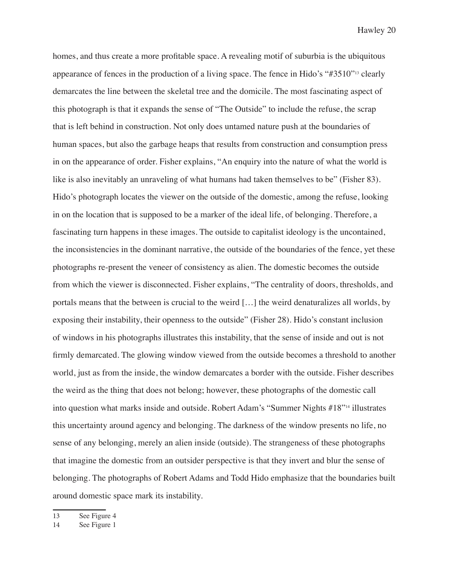homes, and thus create a more profitable space. A revealing motif of suburbia is the ubiquitous appearance of fences in the production of a living space. The fence in Hido's "#3510"13 clearly demarcates the line between the skeletal tree and the domicile. The most fascinating aspect of this photograph is that it expands the sense of "The Outside" to include the refuse, the scrap that is left behind in construction. Not only does untamed nature push at the boundaries of human spaces, but also the garbage heaps that results from construction and consumption press in on the appearance of order. Fisher explains, "An enquiry into the nature of what the world is like is also inevitably an unraveling of what humans had taken themselves to be" (Fisher 83). Hido's photograph locates the viewer on the outside of the domestic, among the refuse, looking in on the location that is supposed to be a marker of the ideal life, of belonging. Therefore, a fascinating turn happens in these images. The outside to capitalist ideology is the uncontained, the inconsistencies in the dominant narrative, the outside of the boundaries of the fence, yet these photographs re-present the veneer of consistency as alien. The domestic becomes the outside from which the viewer is disconnected. Fisher explains, "The centrality of doors, thresholds, and portals means that the between is crucial to the weird […] the weird denaturalizes all worlds, by exposing their instability, their openness to the outside" (Fisher 28). Hido's constant inclusion of windows in his photographs illustrates this instability, that the sense of inside and out is not firmly demarcated. The glowing window viewed from the outside becomes a threshold to another world, just as from the inside, the window demarcates a border with the outside. Fisher describes the weird as the thing that does not belong; however, these photographs of the domestic call into question what marks inside and outside. Robert Adam's "Summer Nights #18"14 illustrates this uncertainty around agency and belonging. The darkness of the window presents no life, no sense of any belonging, merely an alien inside (outside). The strangeness of these photographs that imagine the domestic from an outsider perspective is that they invert and blur the sense of belonging. The photographs of Robert Adams and Todd Hido emphasize that the boundaries built around domestic space mark its instability.

<sup>13</sup> See Figure 4

<sup>14</sup> See Figure 1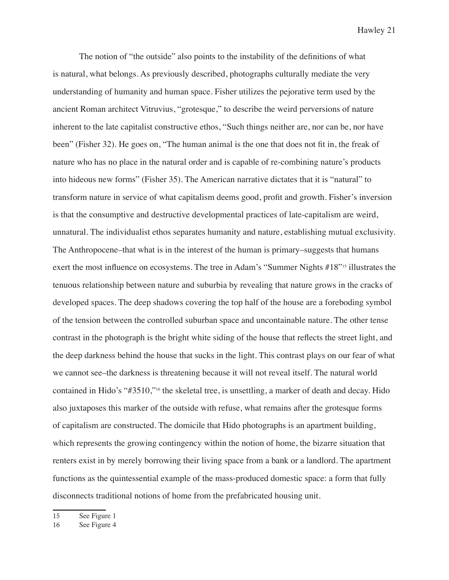The notion of "the outside" also points to the instability of the definitions of what is natural, what belongs. As previously described, photographs culturally mediate the very understanding of humanity and human space. Fisher utilizes the pejorative term used by the ancient Roman architect Vitruvius, "grotesque," to describe the weird perversions of nature inherent to the late capitalist constructive ethos, "Such things neither are, nor can be, nor have been" (Fisher 32). He goes on, "The human animal is the one that does not fit in, the freak of nature who has no place in the natural order and is capable of re-combining nature's products into hideous new forms" (Fisher 35). The American narrative dictates that it is "natural" to transform nature in service of what capitalism deems good, profit and growth. Fisher's inversion is that the consumptive and destructive developmental practices of late-capitalism are weird, unnatural. The individualist ethos separates humanity and nature, establishing mutual exclusivity. The Anthropocene–that what is in the interest of the human is primary–suggests that humans exert the most influence on ecosystems. The tree in Adam's "Summer Nights #18"15 illustrates the tenuous relationship between nature and suburbia by revealing that nature grows in the cracks of developed spaces. The deep shadows covering the top half of the house are a foreboding symbol of the tension between the controlled suburban space and uncontainable nature. The other tense contrast in the photograph is the bright white siding of the house that reflects the street light, and the deep darkness behind the house that sucks in the light. This contrast plays on our fear of what we cannot see–the darkness is threatening because it will not reveal itself. The natural world contained in Hido's "#3510,"16 the skeletal tree, is unsettling, a marker of death and decay. Hido also juxtaposes this marker of the outside with refuse, what remains after the grotesque forms of capitalism are constructed. The domicile that Hido photographs is an apartment building, which represents the growing contingency within the notion of home, the bizarre situation that renters exist in by merely borrowing their living space from a bank or a landlord. The apartment functions as the quintessential example of the mass-produced domestic space: a form that fully disconnects traditional notions of home from the prefabricated housing unit.

15 See Figure 1

16 See Figure 4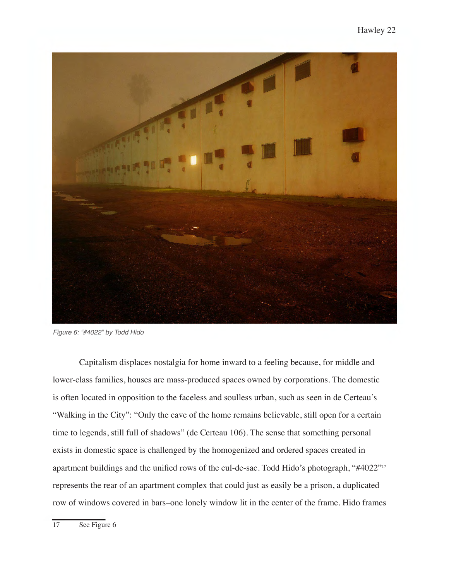

*Figure 6: "#4022" by Todd Hido*

Capitalism displaces nostalgia for home inward to a feeling because, for middle and lower-class families, houses are mass-produced spaces owned by corporations. The domestic is often located in opposition to the faceless and soulless urban, such as seen in de Certeau's "Walking in the City": "Only the cave of the home remains believable, still open for a certain time to legends, still full of shadows" (de Certeau 106). The sense that something personal exists in domestic space is challenged by the homogenized and ordered spaces created in apartment buildings and the unified rows of the cul-de-sac. Todd Hido's photograph, "#4022"<sup>17</sup> represents the rear of an apartment complex that could just as easily be a prison, a duplicated row of windows covered in bars–one lonely window lit in the center of the frame. Hido frames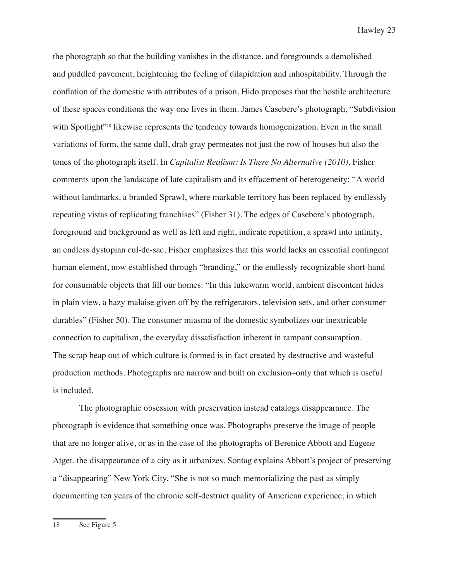the photograph so that the building vanishes in the distance, and foregrounds a demolished and puddled pavement, heightening the feeling of dilapidation and inhospitability. Through the conflation of the domestic with attributes of a prison, Hido proposes that the hostile architecture of these spaces conditions the way one lives in them. James Casebere's photograph, "Subdivision with Spotlight<sup>"18</sup> likewise represents the tendency towards homogenization. Even in the small variations of form, the same dull, drab gray permeates not just the row of houses but also the tones of the photograph itself. In *Capitalist Realism: Is There No Alternative (2010)*, Fisher comments upon the landscape of late capitalism and its effacement of heterogeneity: "A world without landmarks, a branded Sprawl, where markable territory has been replaced by endlessly repeating vistas of replicating franchises" (Fisher 31). The edges of Casebere's photograph, foreground and background as well as left and right, indicate repetition, a sprawl into infinity, an endless dystopian cul-de-sac. Fisher emphasizes that this world lacks an essential contingent human element, now established through "branding," or the endlessly recognizable short-hand for consumable objects that fill our homes: "In this lukewarm world, ambient discontent hides in plain view, a hazy malaise given off by the refrigerators, television sets, and other consumer durables" (Fisher 50). The consumer miasma of the domestic symbolizes our inextricable connection to capitalism, the everyday dissatisfaction inherent in rampant consumption. The scrap heap out of which culture is formed is in fact created by destructive and wasteful production methods. Photographs are narrow and built on exclusion–only that which is useful is included.

The photographic obsession with preservation instead catalogs disappearance. The photograph is evidence that something once was. Photographs preserve the image of people that are no longer alive, or as in the case of the photographs of Berenice Abbott and Eugene Atget, the disappearance of a city as it urbanizes. Sontag explains Abbott's project of preserving a "disappearing" New York City, "She is not so much memorializing the past as simply documenting ten years of the chronic self-destruct quality of American experience, in which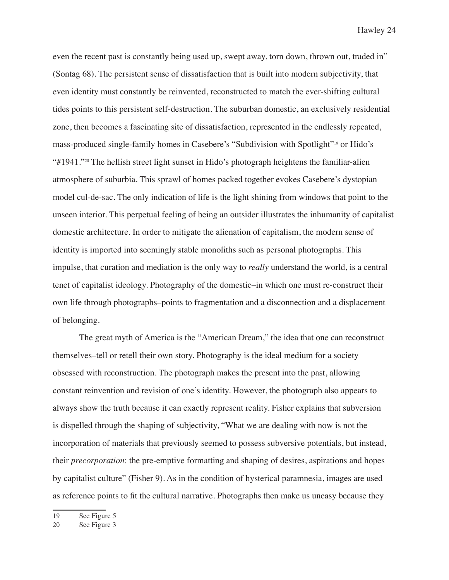even the recent past is constantly being used up, swept away, torn down, thrown out, traded in" (Sontag 68). The persistent sense of dissatisfaction that is built into modern subjectivity, that even identity must constantly be reinvented, reconstructed to match the ever-shifting cultural tides points to this persistent self-destruction. The suburban domestic, an exclusively residential zone, then becomes a fascinating site of dissatisfaction, represented in the endlessly repeated, mass-produced single-family homes in Casebere's "Subdivision with Spotlight"19 or Hido's "#1941."20 The hellish street light sunset in Hido's photograph heightens the familiar-alien atmosphere of suburbia. This sprawl of homes packed together evokes Casebere's dystopian model cul-de-sac. The only indication of life is the light shining from windows that point to the unseen interior. This perpetual feeling of being an outsider illustrates the inhumanity of capitalist domestic architecture. In order to mitigate the alienation of capitalism, the modern sense of identity is imported into seemingly stable monoliths such as personal photographs. This impulse, that curation and mediation is the only way to *really* understand the world, is a central tenet of capitalist ideology. Photography of the domestic–in which one must re-construct their own life through photographs–points to fragmentation and a disconnection and a displacement of belonging.

The great myth of America is the "American Dream," the idea that one can reconstruct themselves–tell or retell their own story. Photography is the ideal medium for a society obsessed with reconstruction. The photograph makes the present into the past, allowing constant reinvention and revision of one's identity. However, the photograph also appears to always show the truth because it can exactly represent reality. Fisher explains that subversion is dispelled through the shaping of subjectivity, "What we are dealing with now is not the incorporation of materials that previously seemed to possess subversive potentials, but instead, their *precorporation*: the pre-emptive formatting and shaping of desires, aspirations and hopes by capitalist culture" (Fisher 9). As in the condition of hysterical paramnesia, images are used as reference points to fit the cultural narrative. Photographs then make us uneasy because they

<sup>19</sup> See Figure 5

<sup>20</sup> See Figure 3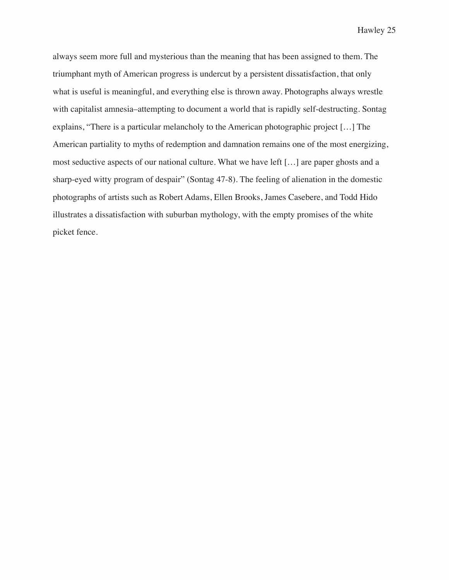always seem more full and mysterious than the meaning that has been assigned to them. The triumphant myth of American progress is undercut by a persistent dissatisfaction, that only what is useful is meaningful, and everything else is thrown away. Photographs always wrestle with capitalist amnesia–attempting to document a world that is rapidly self-destructing. Sontag explains, "There is a particular melancholy to the American photographic project […] The American partiality to myths of redemption and damnation remains one of the most energizing, most seductive aspects of our national culture. What we have left […] are paper ghosts and a sharp-eyed witty program of despair" (Sontag 47-8). The feeling of alienation in the domestic photographs of artists such as Robert Adams, Ellen Brooks, James Casebere, and Todd Hido illustrates a dissatisfaction with suburban mythology, with the empty promises of the white picket fence.